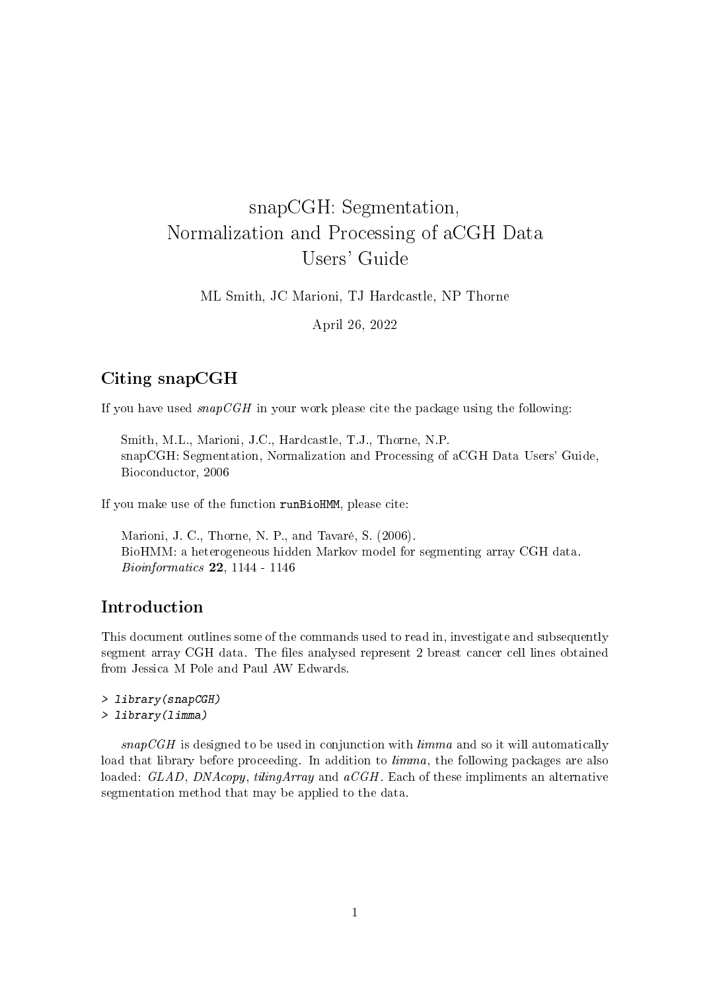# snapCGH: Segmentation, Normalization and Processing of aCGH Data Users' Guide

ML Smith, JC Marioni, TJ Hardcastle, NP Thorne

April 26, 2022

# Citing snapCGH

If you have used  $snapCGH$  in your work please cite the package using the following:

Smith, M.L., Marioni, J.C., Hardcastle, T.J., Thorne, N.P. snapCGH: Segmentation, Normalization and Processing of aCGH Data Users' Guide, Bioconductor, 2006

If you make use of the function runBioHMM, please cite:

Marioni, J. C., Thorne, N. P., and Tavaré, S. (2006). BioHMM: a heterogeneous hidden Markov model for segmenting array CGH data. Bioinformatics 22, 1144 - 1146

# Introduction

This document outlines some of the commands used to read in, investigate and subsequently segment array CGH data. The files analysed represent 2 breast cancer cell lines obtained from Jessica M Pole and Paul AW Edwards.

```
> library(snapCGH)
> library(limma)
```
 $snapCGH$  is designed to be used in conjunction with  $limma$  and so it will automatically load that library before proceeding. In addition to *limma*, the following packages are also loaded: GLAD, DNAcopy, tilingArray and aCGH. Each of these impliments an alternative segmentation method that may be applied to the data.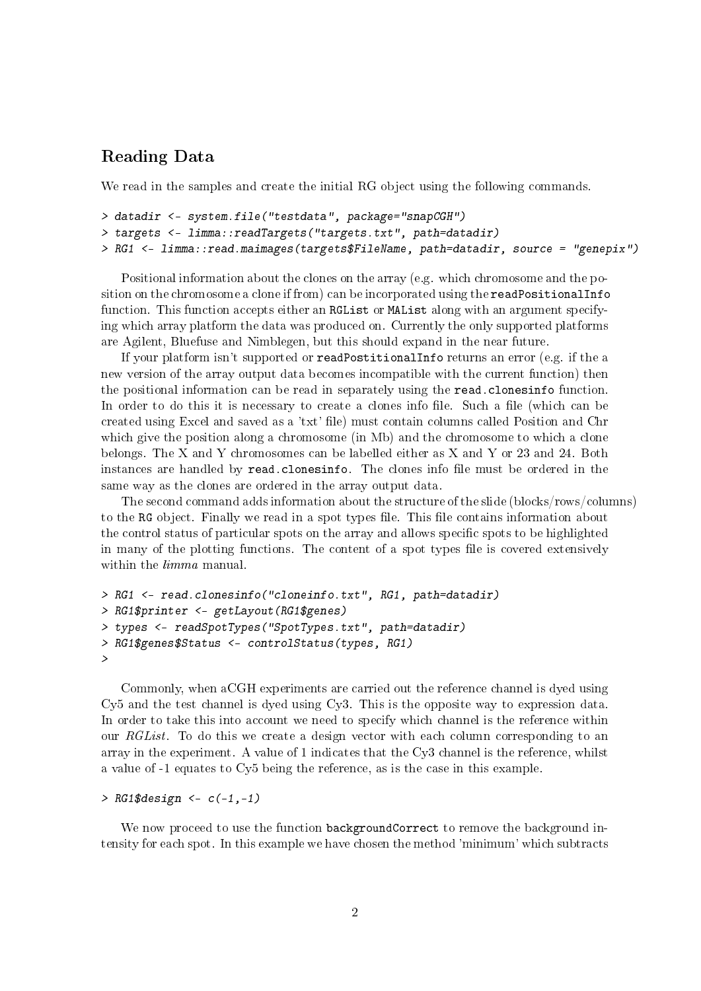# Reading Data

We read in the samples and create the initial RG object using the following commands.

```
> datadir <- system.file("testdata", package="snapCGH")
> targets <- limma::readTargets("targets.txt", path=datadir)
> RG1 <- limma::read.maimages(targets$FileName, path=datadir, source = "genepix")
```
Positional information about the clones on the array (e.g. which chromosome and the position on the chromosome a clone if from) can be incorporated using the readPositionalInfo function. This function accepts either an RGList or MAList along with an argument specifying which array platform the data was produced on. Currently the only supported platforms are Agilent, Bluefuse and Nimblegen, but this should expand in the near future.

If your platform isn't supported or readPostitionalInfo returns an error (e.g. if the a new version of the array output data becomes incompatible with the current function) then the positional information can be read in separately using the read.clonesinfo function. In order to do this it is necessary to create a clones info file. Such a file (which can be created using Excel and saved as a 'txt' le) must contain columns called Position and Chr which give the position along a chromosome (in Mb) and the chromosome to which a clone belongs. The X and Y chromosomes can be labelled either as X and Y or 23 and 24. Both instances are handled by read.clonesinfo. The clones info file must be ordered in the same way as the clones are ordered in the array output data.

The second command adds information about the structure of the slide (blocks/rows/columns) to the RG object. Finally we read in a spot types file. This file contains information about the control status of particular spots on the array and allows specific spots to be highlighted in many of the plotting functions. The content of a spot types file is covered extensively within the *limma* manual.

```
> RG1 <- read.clonesinfo("cloneinfo.txt", RG1, path=datadir)
> RG1$printer <- getLayout(RG1$genes)
> types <- readSpotTypes("SpotTypes.txt", path=datadir)
> RG1$genes$Status <- controlStatus(types, RG1)
>
```
Commonly, when aCGH experiments are carried out the reference channel is dyed using Cy5 and the test channel is dyed using Cy3. This is the opposite way to expression data. In order to take this into account we need to specify which channel is the reference within our RGList. To do this we create a design vector with each column corresponding to an array in the experiment. A value of 1 indicates that the Cy3 channel is the reference, whilst a value of -1 equates to Cy5 being the reference, as is the case in this example.

```
> RG1\design <- c(-1, -1)
```
We now proceed to use the function backgroundCorrect to remove the background intensity for each spot. In this example we have chosen the method 'minimum' which subtracts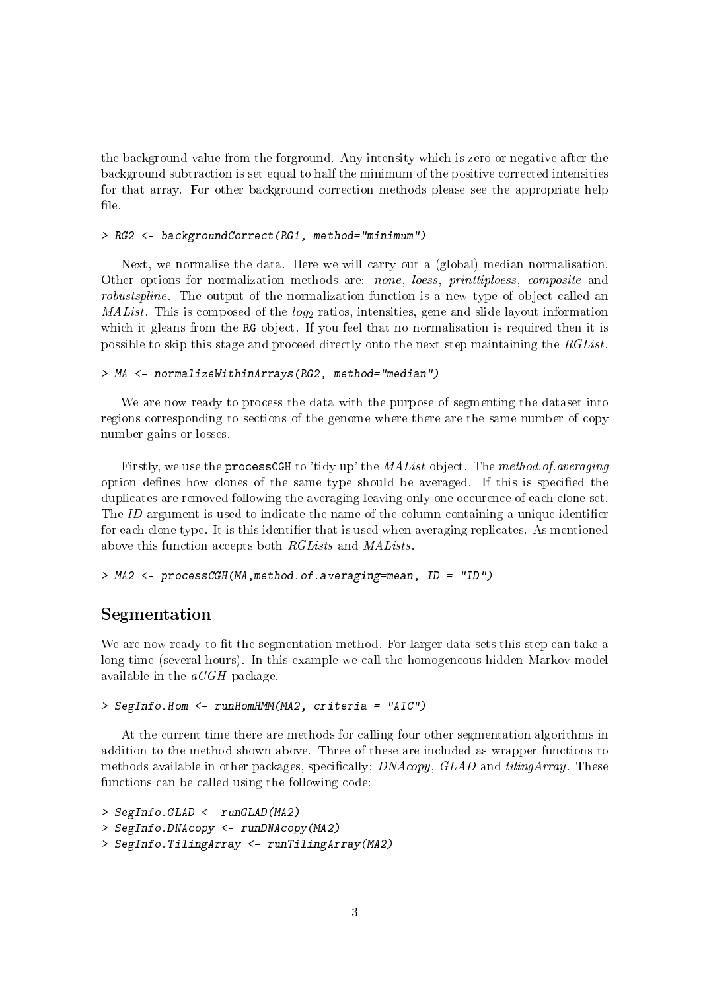the background value from the forground. Any intensity which is zero or negative after the background subtraction is set equal to half the minimum of the positive corrected intensities for that array. For other background correction methods please see the appropriate help file.

> RG2 <- backgroundCorrect(RG1, method="minimum")

Next, we normalise the data. Here we will carry out a (global) median normalisation. Other options for normalization methods are: none, loess, printtiploess, composite and robustspline. The output of the normalization function is a new type of object called an  $MAList$ . This is composed of the  $log_2$  ratios, intensities, gene and slide layout information which it gleans from the RG object. If you feel that no normalisation is required then it is possible to skip this stage and proceed directly onto the next step maintaining the RGList.

> MA <- normalizeWithinArrays(RG2, method="median")

We are now ready to process the data with the purpose of segmenting the dataset into regions corresponding to sections of the genome where there are the same number of copy number gains or losses.

Firstly, we use the processCGH to 'tidy up' the *MAList* object. The method of averaging option defines how clones of the same type should be averaged. If this is specified the duplicates are removed following the averaging leaving only one occurence of each clone set. The ID argument is used to indicate the name of the column containing a unique identifier for each clone type. It is this identifier that is used when averaging replicates. As mentioned above this function accepts both RGLists and MALists.

```
> MA2 <- processCGH(MA,method.of.averaging=mean, ID = "ID")
```
### Segmentation

We are now ready to fit the segmentation method. For larger data sets this step can take a long time (several hours). In this example we call the homogeneous hidden Markov model available in the  $aCGH$  package.

> SegInfo.Hom <- runHomHMM(MA2, criteria = "AIC")

At the current time there are methods for calling four other segmentation algorithms in addition to the method shown above. Three of these are included as wrapper functions to methods available in other packages, specifically:  $DNAcopy$ ,  $GLAD$  and  $tilingArray$ . These functions can be called using the following code:

```
> SegInfo.GLAD <- runGLAD(MA2)
> SegInfo.DNAcopy <- runDNAcopy(MA2)
> SegInfo.TilingArray <- runTilingArray(MA2)
```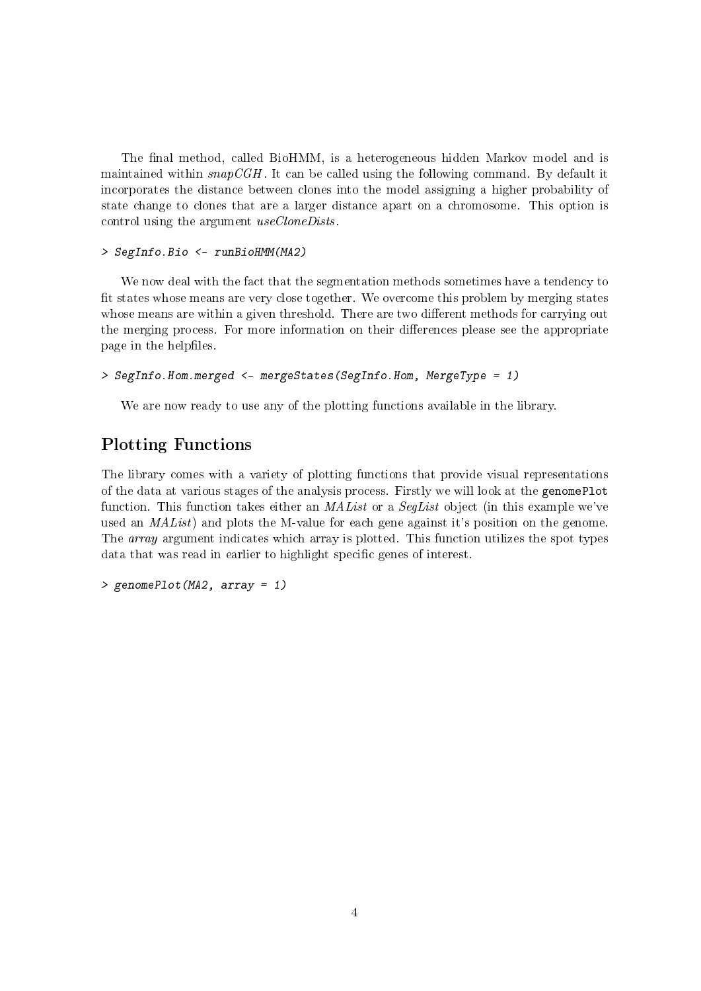The final method, called BioHMM, is a heterogeneous hidden Markov model and is maintained within  $snapCGH$ . It can be called using the following command. By default it incorporates the distance between clones into the model assigning a higher probability of state change to clones that are a larger distance apart on a chromosome. This option is control using the argument useCloneDists.

```
> SegInfo.Bio <- runBioHMM(MA2)
```
We now deal with the fact that the segmentation methods sometimes have a tendency to fit states whose means are very close together. We overcome this problem by merging states whose means are within a given threshold. There are two different methods for carrying out the merging process. For more information on their differences please see the appropriate page in the helpfiles.

```
> SegInfo.Hom.merged <- mergeStates(SegInfo.Hom, MergeType = 1)
```
We are now ready to use any of the plotting functions available in the library.

# Plotting Functions

The library comes with a variety of plotting functions that provide visual representations of the data at various stages of the analysis process. Firstly we will look at the genomePlot function. This function takes either an *MAList* or a *SegList* object (in this example we've used an *MAList*) and plots the M-value for each gene against it's position on the genome. The *array* argument indicates which array is plotted. This function utilizes the spot types data that was read in earlier to highlight specific genes of interest.

```
> genomePlot(MA2, array = 1)
```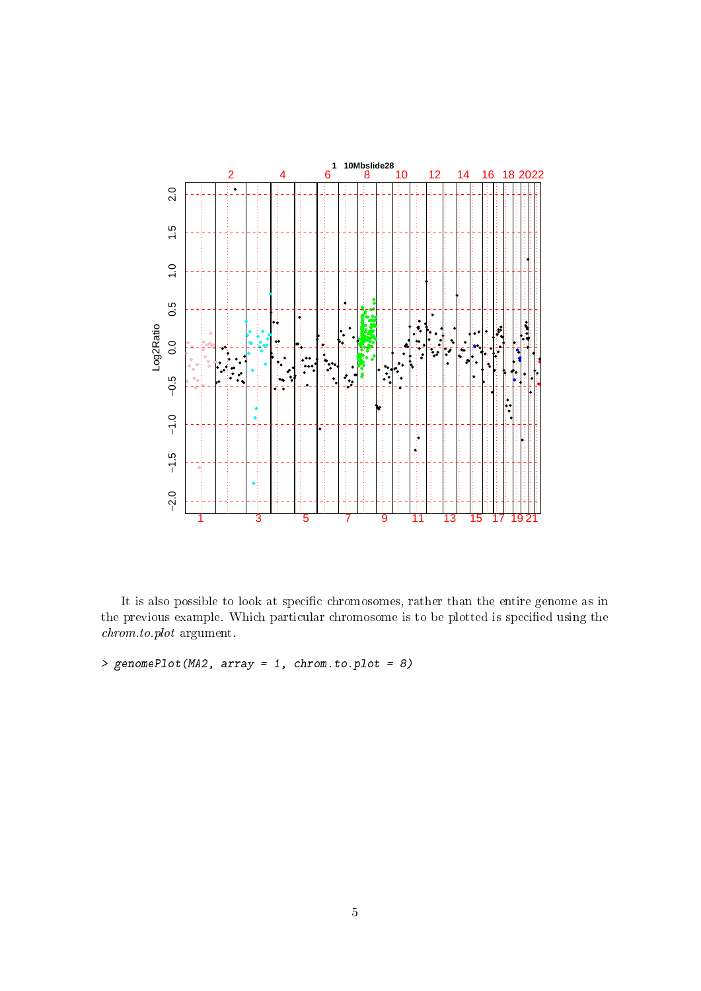

It is also possible to look at specific chromosomes, rather than the entire genome as in the previous example. Which particular chromosome is to be plotted is specified using the chrom.to.plot argument.

> genomePlot(MA2, array = 1, chrom.to.plot = 8)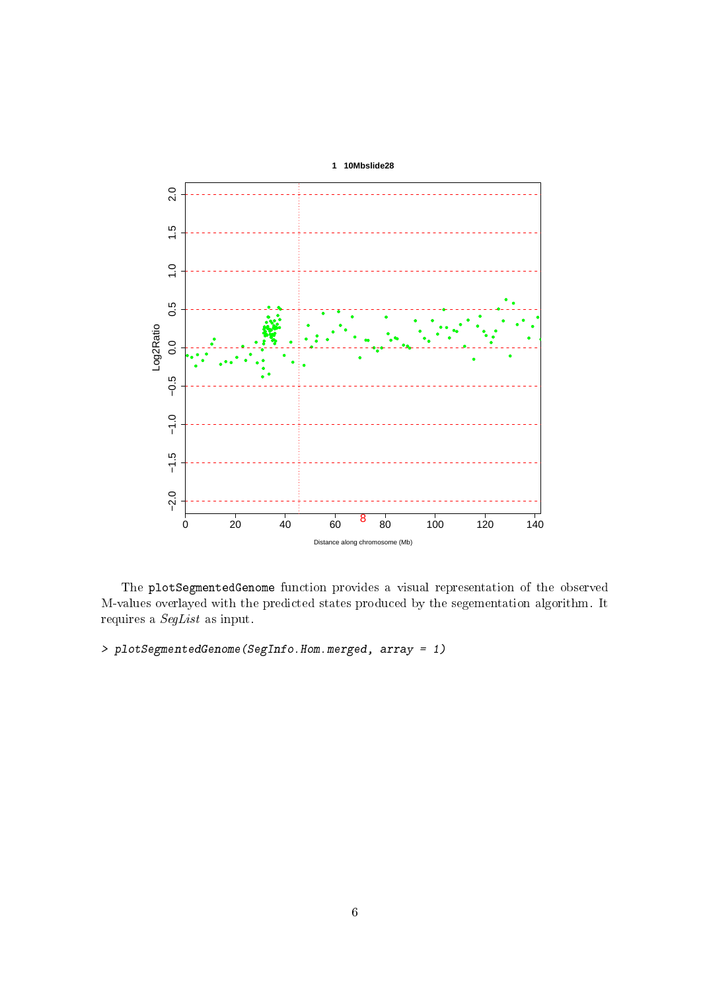

The plotSegmentedGenome function provides a visual representation of the observed M-values overlayed with the predicted states produced by the segementation algorithm. It requires a SegList as input.

```
> plotSegmentedGenome(SegInfo.Hom.merged, array = 1)
```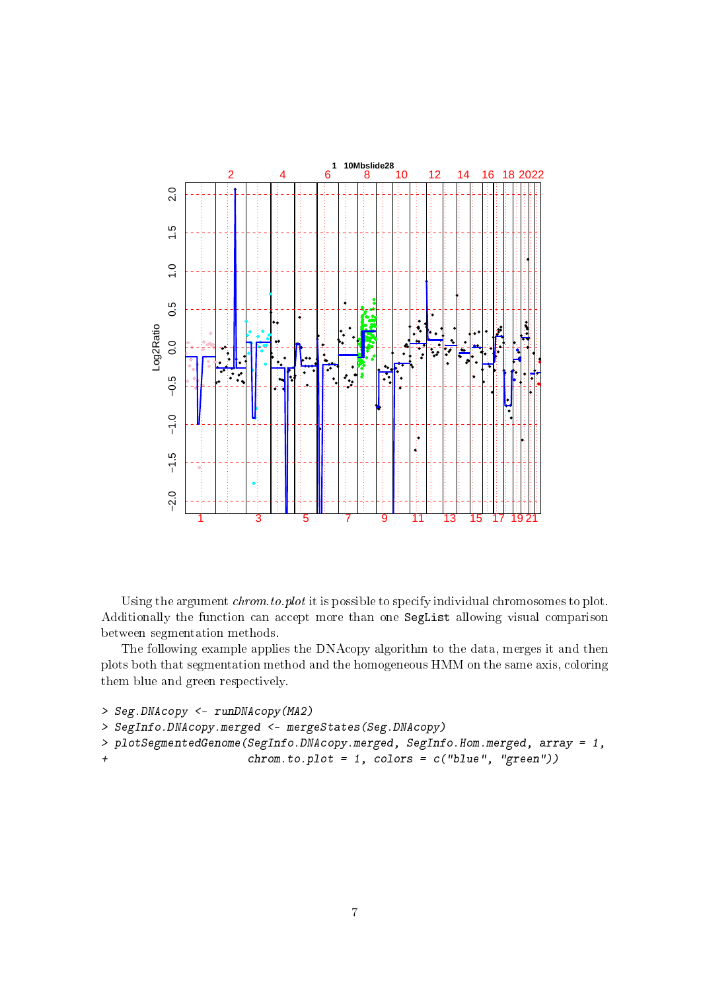

Using the argument chrom.to.plot it is possible to specify individual chromosomes to plot. Additionally the function can accept more than one SegList allowing visual comparison between segmentation methods.

The following example applies the DNAcopy algorithm to the data, merges it and then plots both that segmentation method and the homogeneous HMM on the same axis, coloring them blue and green respectively.

```
> Seg.DNAcopy <- runDNAcopy(MA2)
> SegInfo.DNAcopy.merged <- mergeStates(Seg.DNAcopy)
> plotSegmentedGenome(SegInfo.DNAcopy.merged, SegInfo.Hom.merged, array = 1,
+ chrom.to.plot = 1, colors = c("blue", "green"))
```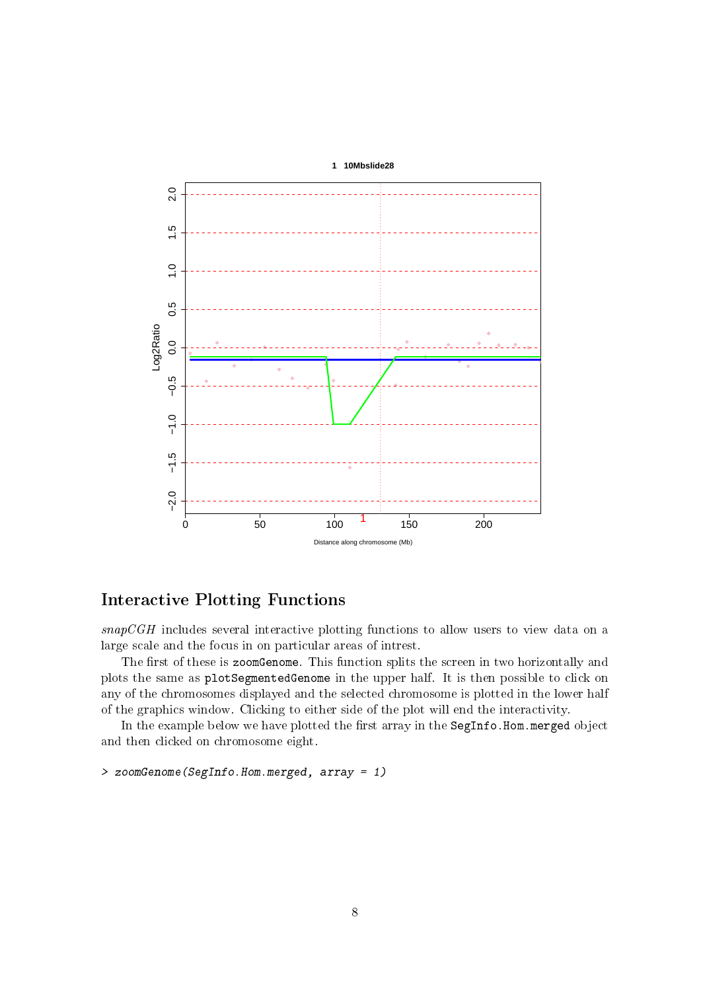

# Interactive Plotting Functions

snapCGH includes several interactive plotting functions to allow users to view data on a large scale and the focus in on particular areas of intrest.

The first of these is zoomGenome. This function splits the screen in two horizontally and plots the same as plotSegmentedGenome in the upper half. It is then possible to click on any of the chromosomes displayed and the selected chromosome is plotted in the lower half of the graphics window. Clicking to either side of the plot will end the interactivity.

In the example below we have plotted the first array in the SegInfo.Hom.merged object and then clicked on chromosome eight.

> zoomGenome(SegInfo.Hom.merged, array = 1)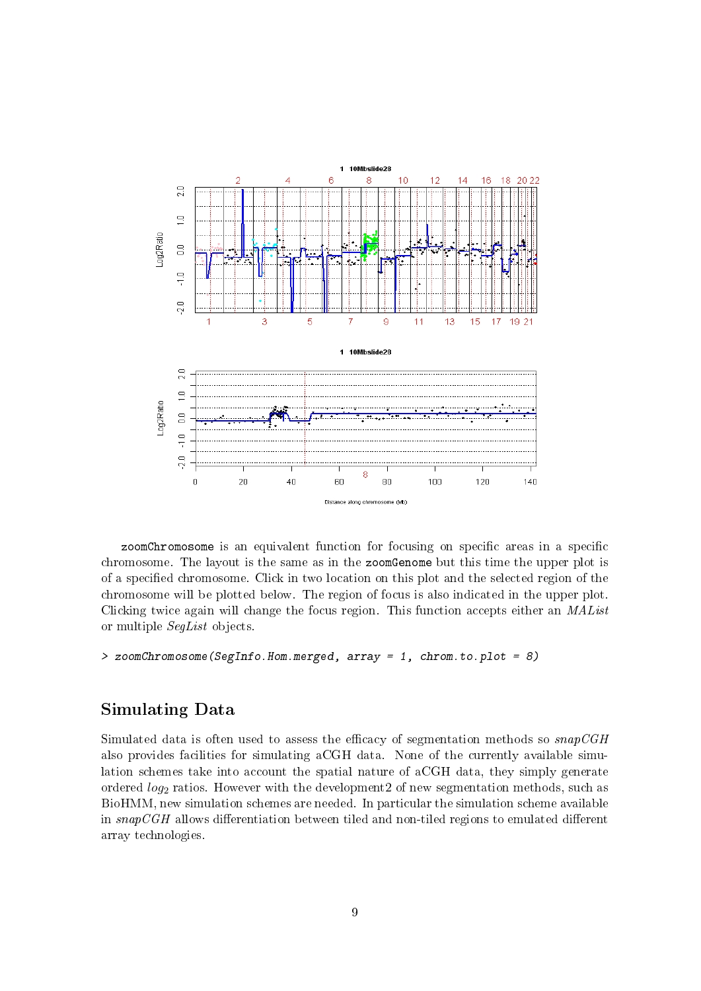

zoomChromosome is an equivalent function for focusing on specific areas in a specific chromosome. The layout is the same as in the zoomGenome but this time the upper plot is of a specified chromosome. Click in two location on this plot and the selected region of the chromosome will be plotted below. The region of focus is also indicated in the upper plot. Clicking twice again will change the focus region. This function accepts either an MAList or multiple SegList objects.

```
> zoomChromosome(SegInfo.Hom.merged, array = 1, chrom.to.plot = 8)
```
# Simulating Data

Simulated data is often used to assess the efficacy of segmentation methods so  $snapCGH$ also provides facilities for simulating aCGH data. None of the currently available simulation schemes take into account the spatial nature of aCGH data, they simply generate ordered  $log<sub>2</sub>$  ratios. However with the development2 of new segmentation methods, such as BioHMM, new simulation schemes are needed. In particular the simulation scheme available in  $snapCGH$  allows differentiation between tiled and non-tiled regions to emulated different array technologies.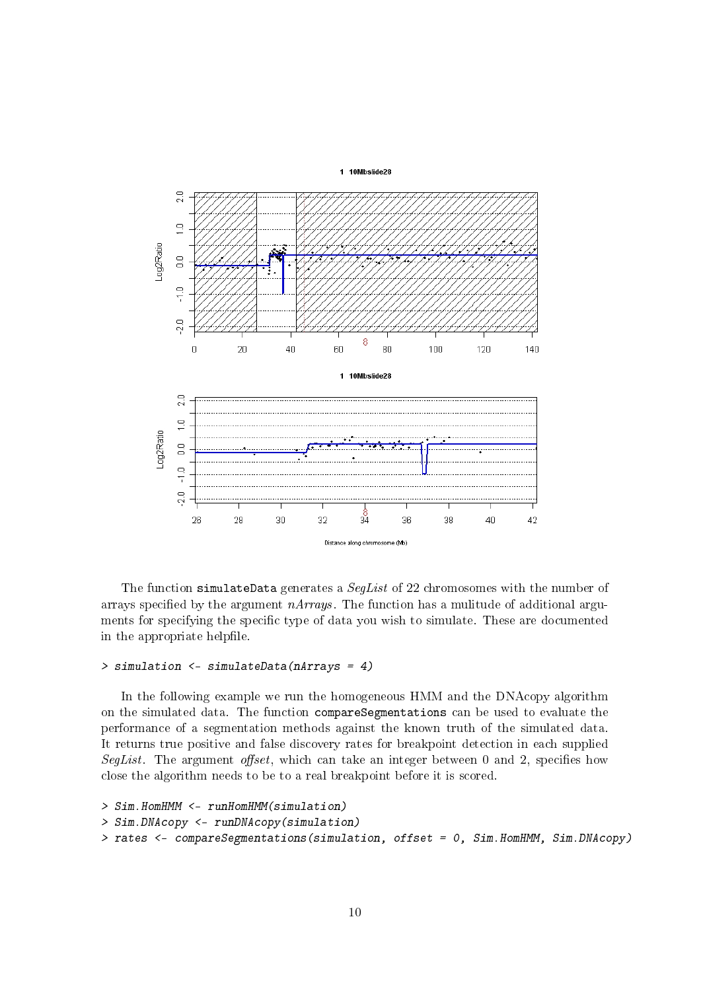

The function simulateData generates a  $SeqList$  of 22 chromosomes with the number of arrays specified by the argument  $nArrays$ . The function has a mulitude of additional arguments for specifying the specific type of data you wish to simulate. These are documented in the appropriate helpfile.

#### > simulation <- simulateData(nArrays = 4)

In the following example we run the homogeneous HMM and the DNAcopy algorithm on the simulated data. The function compareSegmentations can be used to evaluate the performance of a segmentation methods against the known truth of the simulated data. It returns true positive and false discovery rates for breakpoint detection in each supplied SegList. The argument offset, which can take an integer between 0 and 2, specifies how close the algorithm needs to be to a real breakpoint before it is scored.

```
> Sim.HomHMM <- runHomHMM(simulation)
> Sim.DNAcopy <- runDNAcopy(simulation)
> rates <- compareSegmentations(simulation, offset = 0, Sim.HomHMM, Sim.DNAcopy)
```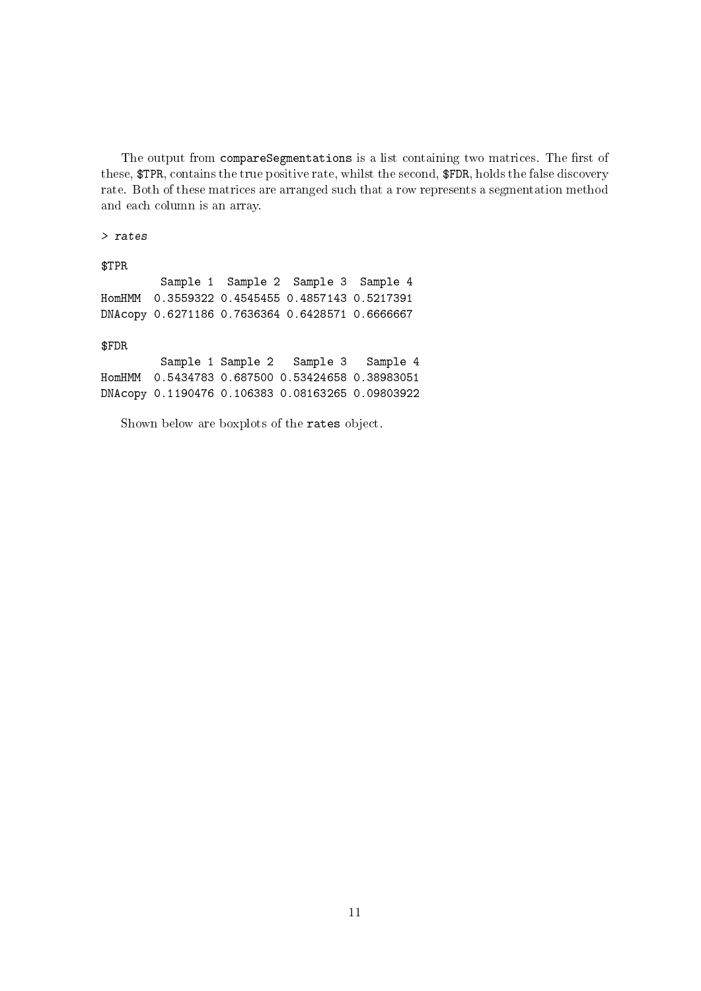The output from compareSegmentations is a list containing two matrices. The first of these, \$TPR, contains the true positive rate, whilst the second, \$FDR, holds the false discovery rate. Both of these matrices are arranged such that a row represents a segmentation method and each column is an array.

#### > rates

### \$TPR

Sample 1 Sample 2 Sample 3 Sample 4 HomHMM 0.3559322 0.4545455 0.4857143 0.5217391 DNAcopy 0.6271186 0.7636364 0.6428571 0.6666667

### \$FDR

Sample 1 Sample 2 Sample 3 Sample 4 HomHMM 0.5434783 0.687500 0.53424658 0.38983051 DNAcopy 0.1190476 0.106383 0.08163265 0.09803922

Shown below are boxplots of the rates object.